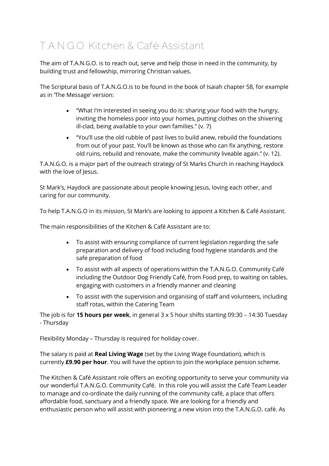### **T.A.N.G.O. Kitchen & Café Assistant**

The aim of T.A.N.G.O. is to reach out, serve and help those in need in the community, by building trust and fellowship, mirroring Christian values.

The Scriptural basis of T.A.N.G.O.is to be found in the book of Isaiah chapter 58, for example as in 'The Message' version:

- "What I'm interested in seeing you do is: sharing your food with the hungry, inviting the homeless poor into your homes, putting clothes on the shivering ill-clad, being available to your own families." (v. 7)
- "You'll use the old rubble of past lives to build anew, rebuild the foundations from out of your past. You'll be known as those who can fix anything, restore old ruins, rebuild and renovate, make the community liveable again." (v. 12).

T.A.N.G.O. is a major part of the outreach strategy of St Marks Church in reaching Haydock with the love of Jesus.

St Mark's, Haydock are passionate about people knowing Jesus, loving each other, and caring for our community.

To help T.A.N.G.O in its mission, St Mark's are looking to appoint a Kitchen & Café Assistant.

The main responsibilities of the Kitchen & Café Assistant are to:

- To assist with ensuring compliance of current legislation regarding the safe preparation and delivery of food including food hygiene standards and the safe preparation of food
- To assist with all aspects of operations within the T.A.N.G.O. Community Café including the Outdoor Dog Friendly Café, from Food prep, to waiting on tables, engaging with customers in a friendly manner and cleaning
- To assist with the supervision and organising of staff and volunteers, including staff rotas, within the Catering Team

The job is for **15 hours per week**, in general 3 x 5 hour shifts starting 09:30 – 14:30 Tuesday - Thursday

Flexibility Monday – Thursday is required for holiday cover.

The salary is paid at **Real Living Wage** (set by the Living Wage Foundation), which is currently **£9.90 per hour**. You will have the option to join the workplace pension scheme.

The Kitchen & Café Assistant role offers an exciting opportunity to serve your community via our wonderful T.A.N.G.O. Community Café. In this role you will assist the Café Team Leader to manage and co-ordinate the daily running of the community café, a place that offers affordable food, sanctuary and a friendly space. We are looking for a friendly and enthusiastic person who will assist with pioneering a new vision into the T.A.N.G.O. café. As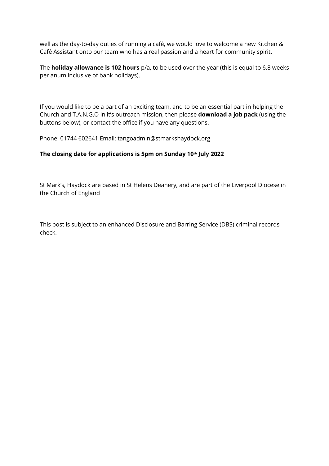well as the day-to-day duties of running a café, we would love to welcome a new Kitchen & Café Assistant onto our team who has a real passion and a heart for community spirit.

The **holiday allowance is 102 hours** p/a, to be used over the year (this is equal to 6.8 weeks per anum inclusive of bank holidays).

If you would like to be a part of an exciting team, and to be an essential part in helping the Church and T.A.N.G.O in it's outreach mission, then please **download a job pack** (using the buttons below), or contact the office if you have any questions.

Phone: 01744 602641 Email: tangoadmin@stmarkshaydock.org

#### **The closing date for applications is 5pm on Sunday 10th July 2022**

St Mark's, Haydock are based in St Helens Deanery, and are part of the Liverpool Diocese in the Church of England

This post is subject to an enhanced Disclosure and Barring Service (DBS) criminal records check.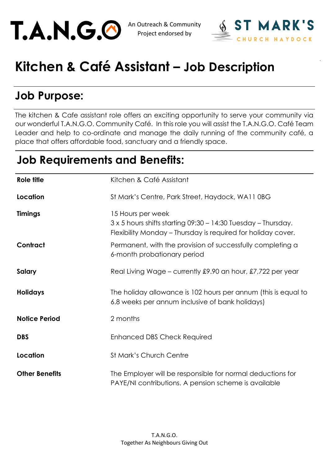



# **Kitchen & Café Assistant – Job Description**

## **Job Purpose:**

The kitchen & Cafe assistant role offers an exciting opportunity to serve your community via our wonderful T.A.N.G.O. Community Café. In this role you will assist the T.A.N.G.O. Café Team Leader and help to co-ordinate and manage the daily running of the community café, a place that offers affordable food, sanctuary and a friendly space.

### **Job Requirements and Benefits:**

| Role title            | Kitchen & Café Assistant                                                                                                                                  |
|-----------------------|-----------------------------------------------------------------------------------------------------------------------------------------------------------|
| Location              | St Mark's Centre, Park Street, Haydock, WA11 0BG                                                                                                          |
| <b>Timings</b>        | 15 Hours per week<br>$3 \times 5$ hours shifts starting 09:30 - 14:30 Tuesday - Thursday.<br>Flexibility Monday – Thursday is required for holiday cover. |
| Contract              | Permanent, with the provision of successfully completing a<br>6-month probationary period                                                                 |
| Salary                | Real Living Wage – currently £9.90 an hour, £7,722 per year                                                                                               |
| <b>Holidays</b>       | The holiday allowance is 102 hours per annum (this is equal to<br>6.8 weeks per annum inclusive of bank holidays)                                         |
| <b>Notice Period</b>  | 2 months                                                                                                                                                  |
| <b>DBS</b>            | <b>Enhanced DBS Check Required</b>                                                                                                                        |
| Location              | <b>St Mark's Church Centre</b>                                                                                                                            |
| <b>Other Benefits</b> | The Employer will be responsible for normal deductions for<br>PAYE/NI contributions. A pension scheme is available                                        |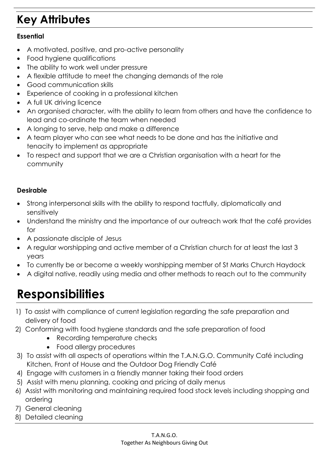## **Key Attributes**

#### **Essential**

- A motivated, positive, and pro-active personality
- Food hygiene qualifications
- The ability to work well under pressure
- A flexible attitude to meet the changing demands of the role
- Good communication skills
- Experience of cooking in a professional kitchen
- A full UK driving licence
- An organised character, with the ability to learn from others and have the confidence to lead and co-ordinate the team when needed
- A longing to serve, help and make a difference
- A team player who can see what needs to be done and has the initiative and tenacity to implement as appropriate
- To respect and support that we are a Christian organisation with a heart for the community

#### **Desirable**

- Strong interpersonal skills with the ability to respond tactfully, diplomatically and sensitively
- Understand the ministry and the importance of our outreach work that the café provides for
- A passionate disciple of Jesus
- A regular worshipping and active member of a Christian church for at least the last 3 years
- To currently be or become a weekly worshipping member of St Marks Church Haydock
- A digital native, readily using media and other methods to reach out to the community

## **Responsibilities**

- 1) To assist with compliance of current legislation regarding the safe preparation and delivery of food
- 2) Conforming with food hygiene standards and the safe preparation of food
	- Recording temperature checks
		- Food allergy procedures
- 3) To assist with all aspects of operations within the T.A.N.G.O. Community Café including Kitchen, Front of House and the Outdoor Dog Friendly Café
- 4) Engage with customers in a friendly manner taking their food orders
- 5) Assist with menu planning, cooking and pricing of daily menus
- 6) Assist with monitoring and maintaining required food stock levels including shopping and ordering
- 7) General cleaning
- 8) Detailed cleaning